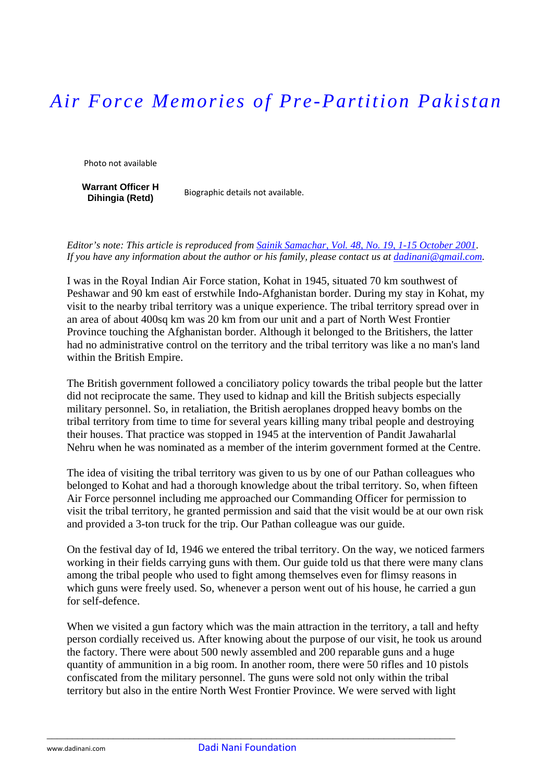## *Air Force Memories of Pre-Partition Pakistan*

Photo not available

**Warrant Officer H Dihingia (Retd)** Biographic details not available.

*Editor's note: This article is reproduced from [Sainik Samachar, Vol. 48, No. 19, 1-15 October 2001](http://mod.nic.in/samachar/oct1-01/html/ch9.htm)*. *If you have any information about the author or his family, please contact us at [dadinani@gmail.com](mailto:dadinani@gmail.com).* 

I was in the Royal Indian Air Force station, Kohat in 1945, situated 70 km southwest of Peshawar and 90 km east of erstwhile Indo-Afghanistan border. During my stay in Kohat, my visit to the nearby tribal territory was a unique experience. The tribal territory spread over in an area of about 400sq km was 20 km from our unit and a part of North West Frontier Province touching the Afghanistan border. Although it belonged to the Britishers, the latter had no administrative control on the territory and the tribal territory was like a no man's land within the British Empire.

The British government followed a conciliatory policy towards the tribal people but the latter did not reciprocate the same. They used to kidnap and kill the British subjects especially military personnel. So, in retaliation, the British aeroplanes dropped heavy bombs on the tribal territory from time to time for several years killing many tribal people and destroying their houses. That practice was stopped in 1945 at the intervention of Pandit Jawaharlal Nehru when he was nominated as a member of the interim government formed at the Centre.

The idea of visiting the tribal territory was given to us by one of our Pathan colleagues who belonged to Kohat and had a thorough knowledge about the tribal territory. So, when fifteen Air Force personnel including me approached our Commanding Officer for permission to visit the tribal territory, he granted permission and said that the visit would be at our own risk and provided a 3-ton truck for the trip. Our Pathan colleague was our guide.

On the festival day of Id, 1946 we entered the tribal territory. On the way, we noticed farmers working in their fields carrying guns with them. Our guide told us that there were many clans among the tribal people who used to fight among themselves even for flimsy reasons in which guns were freely used. So, whenever a person went out of his house, he carried a gun for self-defence.

When we visited a gun factory which was the main attraction in the territory, a tall and hefty person cordially received us. After knowing about the purpose of our visit, he took us around the factory. There were about 500 newly assembled and 200 reparable guns and a huge quantity of ammunition in a big room. In another room, there were 50 rifles and 10 pistols confiscated from the military personnel. The guns were sold not only within the tribal territory but also in the entire North West Frontier Province. We were served with light